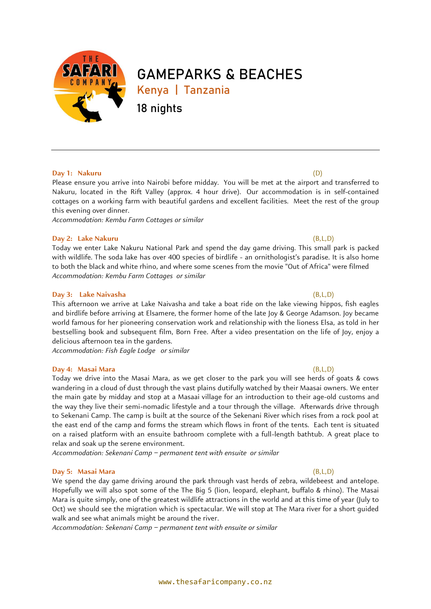

# **GAMEPARKS & BEACHES**

**Kenya | Tanzania**

**18 nights**

### **Day 1: Nakuru** (D)

Please ensure you arrive into Nairobi before midday. You will be met at the airport and transferred to Nakuru, located in the Rift Valley (approx. 4 hour drive). Our accommodation is in self-contained cottages on a working farm with beautiful gardens and excellent facilities. Meet the rest of the group this evening over dinner.

*Accommodation: Kembu Farm Cottages or similar*

### **Day 2: Lake Nakuru** (B,L,D)

Today we enter Lake Nakuru National Park and spend the day game driving. This small park is packed with wildlife. The soda lake has over 400 species of birdlife - an ornithologist's paradise. It is also home to both the black and white rhino, and where some scenes from the movie "Out of Africa" were filmed *Accommodation: Kembu Farm Cottages or similar*

### **Day 3: Lake Naivasha** (B,L,D)

This afternoon we arrive at Lake Naivasha and take a boat ride on the lake viewing hippos, fish eagles and birdlife before arriving at Elsamere, the former home of the late Joy & George Adamson. Joy became world famous for her pioneering conservation work and relationship with the lioness Elsa, as told in her bestselling book and subsequent film, Born Free. After a video presentation on the life of Joy, enjoy a delicious afternoon tea in the gardens.

*Accommodation: Fish Eagle Lodge or similar*

### **Day 4: Masai Mara** (B,L,D)

Today we drive into the Masai Mara, as we get closer to the park you will see herds of goats & cows wandering in a cloud of dust through the vast plains dutifully watched by their Maasai owners. We enter the main gate by midday and stop at a Masaai village for an introduction to their age-old customs and the way they live their semi-nomadic lifestyle and a tour through the village. Afterwards drive through to Sekenani Camp. The camp is built at the source of the Sekenani River which rises from a rock pool at the east end of the camp and forms the stream which flows in front of the tents. Each tent is situated on a raised platform with an ensuite bathroom complete with a full-length bathtub. A great place to relax and soak up the serene environment.

*Accommodation: Sekenani Camp – permanent tent with ensuite or similar*

### **Day 5: Masai Mara** (B,L,D)

We spend the day game driving around the park through vast herds of zebra, wildebeest and antelope. Hopefully we will also spot some of the The Big 5 (lion, leopard, elephant, buffalo & rhino). The Masai Mara is quite simply, one of the greatest wildlife attractions in the world and at this time of year (July to Oct) we should see the migration which is spectacular. We will stop at The Mara river for a short guided walk and see what animals might be around the river.

*Accommodation: Sekenani Camp – permanent tent with ensuite or similar*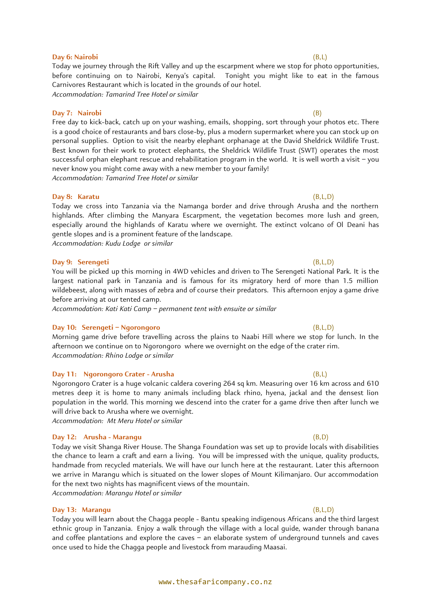Today we journey through the Rift Valley and up the escarpment where we stop for photo opportunities, before continuing on to Nairobi, Kenya's capital. Tonight you might like to eat in the famous Carnivores Restaurant which is located in the grounds of our hotel. *Accommodation: Tamarind Tree Hotel or similar*

### **Day 7: Nairobi** (B)

Free day to kick-back, catch up on your washing, emails, shopping, sort through your photos etc. There is a good choice of restaurants and bars close-by, plus a modern supermarket where you can stock up on personal supplies. Option to visit the nearby elephant orphanage at the David Sheldrick Wildlife Trust. Best known for their work to protect elephants, the Sheldrick Wildlife Trust (SWT) operates the most successful orphan elephant rescue and rehabilitation program in the world. It is well worth a visit – you never know you might come away with a new member to your family! *Accommodation: Tamarind Tree Hotel or similar*

### **Day 8: Karatu** (B,L,D)

Today we cross into Tanzania via the Namanga border and drive through Arusha and the northern highlands. After climbing the Manyara Escarpment, the vegetation becomes more lush and green, especially around the highlands of Karatu where we overnight. The extinct volcano of Ol Deani has gentle slopes and is a prominent feature of the landscape.

*Accommodation: Kudu Lodge or similar*

### **Day 9: Serengeti** (B,L,D)

You will be picked up this morning in 4WD vehicles and driven to The Serengeti National Park. It is the largest national park in Tanzania and is famous for its migratory herd of more than 1.5 million wildebeest, along with masses of zebra and of course their predators. This afternoon enjoy a game drive before arriving at our tented camp.

*Accommodation: Kati Kati Camp – permanent tent with ensuite or similar*

### **Day 10: Serengeti – Ngorongoro** (B,L,D)

Morning game drive before travelling across the plains to Naabi Hill where we stop for lunch. In the afternoon we continue on to Ngorongoro where we overnight on the edge of the crater rim. *Accommodation: Rhino Lodge or similar*

### **Day 11: Ngorongoro Crater - Arusha** (B,L)

Ngorongoro Crater is a huge volcanic caldera covering 264 sq km. Measuring over 16 km across and 610 metres deep it is home to many animals including black rhino, hyena, jackal and the densest lion population in the world. This morning we descend into the crater for a game drive then after lunch we will drive back to Arusha where we overnight.

*Accommodation: Mt Meru Hotel or similar*

### **Day 12: Arusha - Marangu** (B,D)

Today we visit Shanga River House. The Shanga Foundation was set up to provide locals with disabilities the chance to learn a craft and earn a living. You will be impressed with the unique, quality products, handmade from recycled materials. We will have our lunch here at the restaurant. Later this afternoon we arrive in Marangu which is situated on the lower slopes of Mount Kilimanjaro. Our accommodation for the next two nights has magnificent views of the mountain. *Accommodation: Marangu Hotel or similar*

### **Day 13: Marangu** (B,L,D)

Today you will learn about the Chagga people - [Bantu](https://en.wikipedia.org/wiki/Bantu_languages) speaking [indigenous](https://en.wikipedia.org/wiki/Indigenous_peoples_of_Africa) Africans and the third largest ethnic group in [Tanzania.](https://en.wikipedia.org/wiki/Tanzania) Enjoy a walk through the village with a local guide, wander through banana and coffee plantations and explore the caves – an elaborate system of underground tunnels and caves once used to hide the Chagga people and livestock from marauding Maasai.

### **Day 6: Nairobi** (B,L)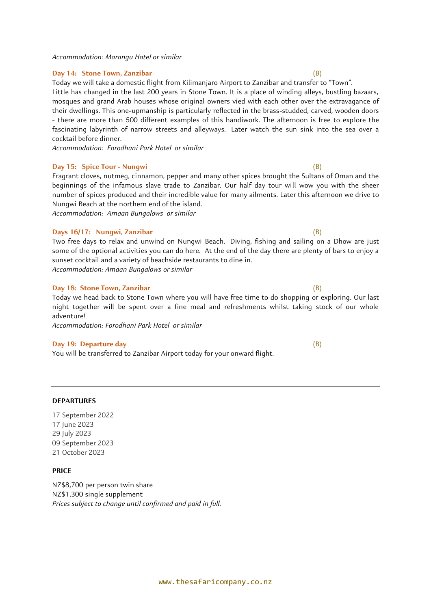*Accommodation: Marangu Hotel or similar*

### **Day 14: Stone Town, Zanzibar** (B)

Today we will take a domestic flight from Kilimanjaro Airport to Zanzibar and transfer to "Town". Little has changed in the last 200 years in Stone Town. It is a place of winding alleys, bustling bazaars,

mosques and grand Arab houses whose original owners vied with each other over the extravagance of their dwellings. This one-upmanship is particularly reflected in the brass-studded, carved, wooden doors - there are more than 500 different examples of this handiwork. The afternoon is free to explore the fascinating labyrinth of narrow streets and alleyways. Later watch the sun sink into the sea over a cocktail before dinner.

*Accommodation: Forodhani Park Hotel or similar*

### **Day 15: Spice Tour - Nungwi** (B)

Fragrant cloves, nutmeg, cinnamon, pepper and many other spices brought the Sultans of Oman and the beginnings of the infamous slave trade to Zanzibar. Our half day tour will wow you with the sheer number of spices produced and their incredible value for many ailments. Later this afternoon we drive to Nungwi Beach at the northern end of the island.

*Accommodation: Amaan Bungalows or similar*

### **Days 16/17: Nungwi, Zanzibar** (B)

Two free days to relax and unwind on Nungwi Beach. Diving, fishing and sailing on a Dhow are just some of the optional activities you can do here. At the end of the day there are plenty of bars to enjoy a sunset cocktail and a variety of beachside restaurants to dine in. *Accommodation: Amaan Bungalows or similar*

### **Day 18: Stone Town, Zanzibar** (B)

Today we head back to Stone Town where you will have free time to do shopping or exploring. Our last night together will be spent over a fine meal and refreshments whilst taking stock of our whole adventure!

*Accommodation: Forodhani Park Hotel or similar*

### **Day 19: Departure day** (B)

**DEPARTURES** 

17 September 2022 17 June 2023 29 July 2023

09 September 2023 21 October 2023

You will be transferred to Zanzibar Airport today for your onward flight.

### **PRICE**

NZ\$8,700 per person twin share NZ\$1,300 single supplement *Prices subject to change until confirmed and paid in full.*